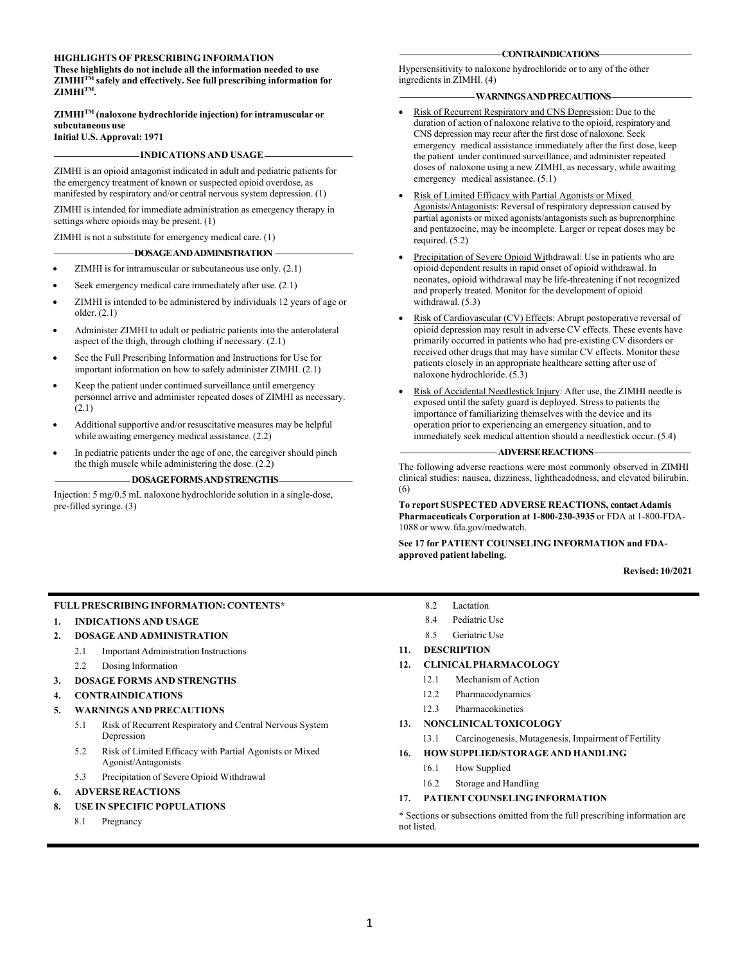#### **HIGHLIGHTS OF PRESCRIBING INFORMATION**

**These highlights do not include all the information needed to use ZIMHITM safely and effectively. See full prescribing information for**  $\mathbf{ZIMHI}^{TM}$ .

#### **ZIMHITM (naloxone hydrochloride injection) for intramuscular or subcutaneous use Initial U.S. Approval: 1971**

### **INDICATIONS AND USAGE**

ZIMHI is an opioid antagonist indicated in adult and pediatric patients for the emergency treatment of known or suspected opioid overdose, as manifested by respiratory and/or central nervous system depression. (1)

ZIMHI is intended for immediate administration as emergency therapy in settings where opioids may be present. (1)

ZIMHI is not a substitute for emergency medical care. (1)

### **DOSAGEANDADMINISTRATION**

- ZIMHI is for intramuscular or subcutaneous use only. (2.1)
- Seek emergency medical care immediately after use.  $(2.1)$
- ZIMHI is intended to be administered by individuals 12 years of age or older. (2.1)
- Administer ZIMHI to adult or pediatric patients into the anterolateral aspect of the thigh, through clothing if necessary. (2.1)
- See the Full Prescribing Information and Instructions for Use for important information on how to safely administer ZIMHI. (2.1)
- Keep the patient under continued surveillance until emergency personnel arrive and administer repeated doses of ZIMHI as necessary.  $(2.1)$
- Additional supportive and/or resuscitative measures may be helpful while awaiting emergency medical assistance. (2.2)
- In pediatric patients under the age of one, the caregiver should pinch the thigh muscle while administering the dose. (2.2)

#### **DOSAGEFORMSANDSTRENGTHS**

Injection: 5 mg/0.5 mL naloxone hydrochloride solution in a single-dose, pre-filled syringe. (3)

#### **CONTRAINDICATIONS**

Hypersensitivity to naloxone hydrochloride or to any of the other ingredients in ZIMHI. (4)

### **WARNINGSANDPRECAUTIONS**

- Risk of Recurrent Respiratory and CNS Depression: Due to the duration of action of naloxone relative to the opioid, respiratory and CNS depression may recur after the first dose of naloxone. Seek emergency medical assistance immediately after the first dose, keep the patient under continued surveillance, and administer repeated doses of naloxone using a new ZIMHI, as necessary, while awaiting emergency medical assistance. (5.1)
- Risk of Limited Efficacy with Partial Agonists or Mixed Agonists/Antagonists: Reversal of respiratory depression caused by partial agonists or mixed agonists/antagonists such as buprenorphine and pentazocine, may be incomplete. Larger or repeat doses may be required. (5.2)
- Precipitation of Severe Opioid Withdrawal: Use in patients who are opioid dependent results in rapid onset of opioid withdrawal. In neonates, opioid withdrawal may be life-threatening if not recognized and properly treated. Monitor for the development of opioid withdrawal. (5.3)
- Risk of Cardiovascular (CV) Effects: Abrupt postoperative reversal of opioid depression may result in adverse CV effects. These events have primarily occurred in patients who had pre-existing CV disorders or received other drugs that may have similar CV effects. Monitor these patients closely in an appropriate healthcare setting after use of naloxone hydrochloride. (5.3)
- Risk of Accidental Needlestick Injury: After use, the ZIMHI needle is exposed until the safety guard is deployed. Stress to patients the importance of familiarizing themselves with the device and its operation prior to experiencing an emergency situation, and to immediately seek medical attention should a needlestick occur. (5.4)

#### **ADVERSEREACTIONS**

The following adverse reactions were most commonly observed in ZIMHI clinical studies: nausea, dizziness, lightheadedness, and elevated bilirubin. (6)

**To report SUSPECTED ADVERSE REACTIONS, contact Adamis Pharmaceuticals Corporation at 1-800-230-3935** or FDA at 1-800-FDA-1088 or www.fda.gov/medwatch.

### **See 17 for PATIENT COUNSELING INFORMATION and FDAapproved patient labeling.**

**Revised: 10/2021**

### **FULL PRESCRIBING INFORMATION: CONTENTS\***

### **1. INDICATIONS AND USAGE**

- **2. DOSAGE AND ADMINISTRATION**
	- 2.1 Important Administration Instructions
	- 2.2 Dosing Information

### **3. DOSAGE FORMS AND STRENGTHS**

**4. CONTRAINDICATIONS**

### **5. WARNINGS AND PRECAUTIONS**

- 5.1 Risk of Recurrent Respiratory and Central Nervous System Depression
- 5.2 Risk of Limited Efficacy with Partial Agonists or Mixed Agonist/Antagonists
- 5.3 Precipitation of Severe Opioid Withdrawal

### **6. ADVERSE REACTIONS**

### **8. USE IN SPECIFIC POPULATIONS**

8.1 Pregnancy

- 8.2 Lactation
- 8.4 Pediatric Use
- 8.5 Geriatric Use
- **11. DESCRIPTION**

### **12. CLINICALPHARMACOLOGY**

- 12.1 Mechanism of Action
- 12.2 Pharmacodynamics
- 12.3 Pharmacokinetics
- **13. NONCLINICALTOXICOLOGY**
	- 13.1 Carcinogenesis, Mutagenesis, Impairment of Fertility

### **16. HOW SUPPLIED/STORAGE AND HANDLING**

- 16.1 How Supplied
- 16.2 Storage and Handling

### **17. PATIENT COUNSELING INFORMATION**

\* Sections or subsections omitted from the full prescribing information are not listed.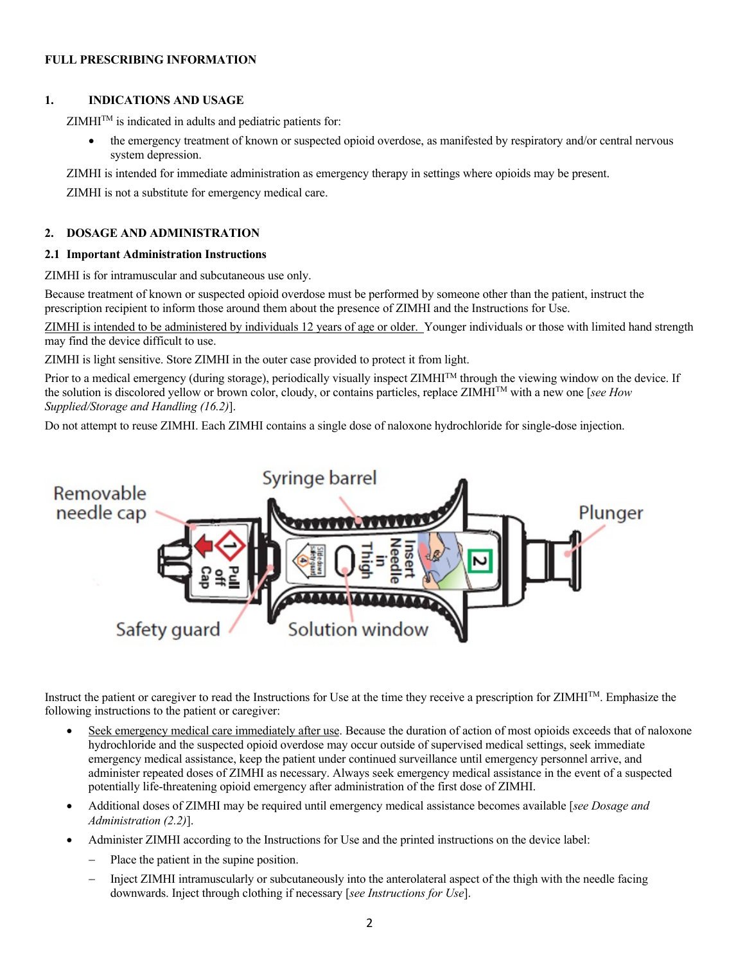# **FULL PRESCRIBING INFORMATION**

# **1. INDICATIONS AND USAGE**

 $ZIMHI<sup>TM</sup>$  is indicated in adults and pediatric patients for:

• the emergency treatment of known or suspected opioid overdose, as manifested by respiratory and/or central nervous system depression.

ZIMHI is intended for immediate administration as emergency therapy in settings where opioids may be present.

ZIMHI is not a substitute for emergency medical care.

# **2. DOSAGE AND ADMINISTRATION**

# **2.1 Important Administration Instructions**

ZIMHI is for intramuscular and subcutaneous use only.

Because treatment of known or suspected opioid overdose must be performed by someone other than the patient, instruct the prescription recipient to inform those around them about the presence of ZIMHI and the Instructions for Use.

ZIMHI is intended to be administered by individuals 12 years of age or older. Younger individuals or those with limited hand strength may find the device difficult to use.

ZIMHI is light sensitive. Store ZIMHI in the outer case provided to protect it from light.

Prior to a medical emergency (during storage), periodically visually inspect ZIMHI<sup>TM</sup> through the viewing window on the device. If the solution is discolored yellow or brown color, cloudy, or contains particles, replace ZIMHITM with a new one [*see How Supplied/Storage and Handling (16.2)*].

Do not attempt to reuse ZIMHI. Each ZIMHI contains a single dose of naloxone hydrochloride for single-dose injection.



Instruct the patient or caregiver to read the Instructions for Use at the time they receive a prescription for ZIMHITM. Emphasize the following instructions to the patient or caregiver:

- Seek emergency medical care immediately after use. Because the duration of action of most opioids exceeds that of naloxone hydrochloride and the suspected opioid overdose may occur outside of supervised medical settings, seek immediate emergency medical assistance, keep the patient under continued surveillance until emergency personnel arrive, and administer repeated doses of ZIMHI as necessary. Always seek emergency medical assistance in the event of a suspected potentially life-threatening opioid emergency after administration of the first dose of ZIMHI.
- Additional doses of ZIMHI may be required until emergency medical assistance becomes available [*see Dosage and Administration (2.2)*].
- Administer ZIMHI according to the Instructions for Use and the printed instructions on the device label:
	- Place the patient in the supine position.
	- Inject ZIMHI intramuscularly or subcutaneously into the anterolateral aspect of the thigh with the needle facing downwards. Inject through clothing if necessary [*see Instructions for Use*].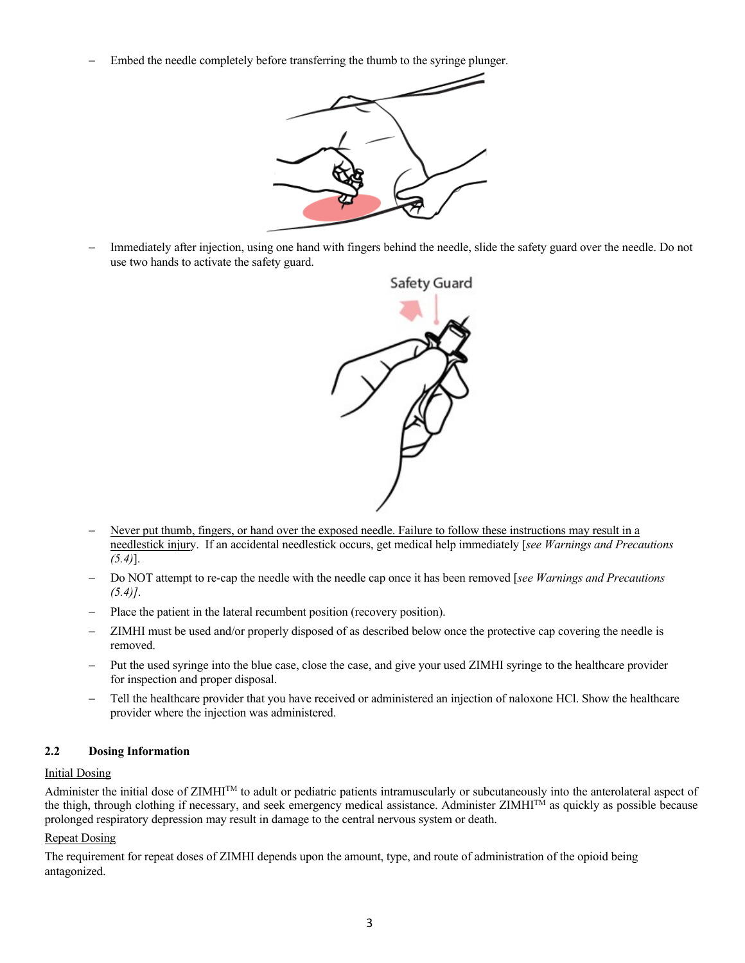Embed the needle completely before transferring the thumb to the syringe plunger.



Immediately after injection, using one hand with fingers behind the needle, slide the safety guard over the needle. Do not use two hands to activate the safety guard.



- Never put thumb, fingers, or hand over the exposed needle. Failure to follow these instructions may result in a needlestick injury. If an accidental needlestick occurs, get medical help immediately [*see Warnings and Precautions (5.4)*].
- Do NOT attempt to re-cap the needle with the needle cap once it has been removed [*see Warnings and Precautions (5.4)]*.
- Place the patient in the lateral recumbent position (recovery position).
- ZIMHI must be used and/or properly disposed of as described below once the protective cap covering the needle is removed.
- Put the used syringe into the blue case, close the case, and give your used ZIMHI syringe to the healthcare provider for inspection and proper disposal.
- Tell the healthcare provider that you have received or administered an injection of naloxone HCl. Show the healthcare provider where the injection was administered.

# **2.2 Dosing Information**

# Initial Dosing

Administer the initial dose of  $ZIMHI<sup>TM</sup>$  to adult or pediatric patients intramuscularly or subcutaneously into the anterolateral aspect of the thigh, through clothing if necessary, and seek emergency medical assistance. Administer ZIMHI<sup>TM</sup> as quickly as possible because prolonged respiratory depression may result in damage to the central nervous system or death.

# **Repeat Dosing**

The requirement for repeat doses of ZIMHI depends upon the amount, type, and route of administration of the opioid being antagonized.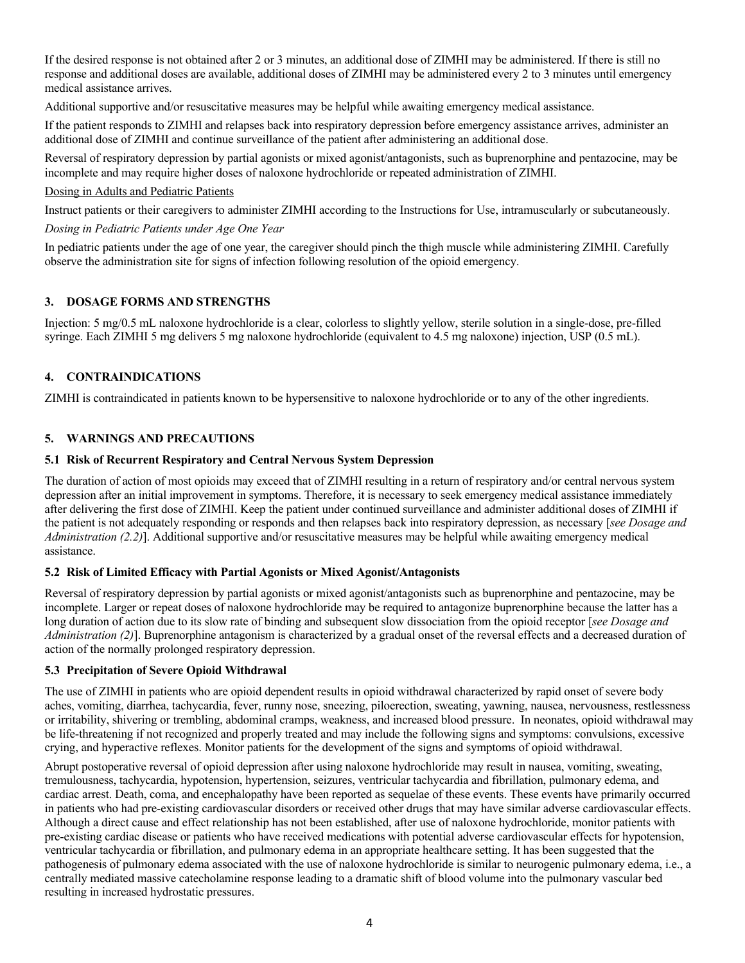If the desired response is not obtained after 2 or 3 minutes, an additional dose of ZIMHI may be administered. If there is still no response and additional doses are available, additional doses of ZIMHI may be administered every 2 to 3 minutes until emergency medical assistance arrives.

Additional supportive and/or resuscitative measures may be helpful while awaiting emergency medical assistance.

If the patient responds to ZIMHI and relapses back into respiratory depression before emergency assistance arrives, administer an additional dose of ZIMHI and continue surveillance of the patient after administering an additional dose.

Reversal of respiratory depression by partial agonists or mixed agonist/antagonists, such as buprenorphine and pentazocine, may be incomplete and may require higher doses of naloxone hydrochloride or repeated administration of ZIMHI.

### Dosing in Adults and Pediatric Patients

Instruct patients or their caregivers to administer ZIMHI according to the Instructions for Use, intramuscularly or subcutaneously.

# *Dosing in Pediatric Patients under Age One Year*

In pediatric patients under the age of one year, the caregiver should pinch the thigh muscle while administering ZIMHI. Carefully observe the administration site for signs of infection following resolution of the opioid emergency.

# **3. DOSAGE FORMS AND STRENGTHS**

Injection: 5 mg/0.5 mL naloxone hydrochloride is a clear, colorless to slightly yellow, sterile solution in a single-dose, pre-filled syringe. Each ZIMHI 5 mg delivers 5 mg naloxone hydrochloride (equivalent to 4.5 mg naloxone) injection, USP (0.5 mL).

# **4. CONTRAINDICATIONS**

ZIMHI is contraindicated in patients known to be hypersensitive to naloxone hydrochloride or to any of the other ingredients.

# **5. WARNINGS AND PRECAUTIONS**

### **5.1 Risk of Recurrent Respiratory and Central Nervous System Depression**

The duration of action of most opioids may exceed that of ZIMHI resulting in a return of respiratory and/or central nervous system depression after an initial improvement in symptoms. Therefore, it is necessary to seek emergency medical assistance immediately after delivering the first dose of ZIMHI. Keep the patient under continued surveillance and administer additional doses of ZIMHI if the patient is not adequately responding or responds and then relapses back into respiratory depression, as necessary [*see Dosage and Administration (2.2)*]. Additional supportive and/or resuscitative measures may be helpful while awaiting emergency medical assistance.

# **5.2 Risk of Limited Efficacy with Partial Agonists or Mixed Agonist/Antagonists**

Reversal of respiratory depression by partial agonists or mixed agonist/antagonists such as buprenorphine and pentazocine, may be incomplete. Larger or repeat doses of naloxone hydrochloride may be required to antagonize buprenorphine because the latter has a long duration of action due to its slow rate of binding and subsequent slow dissociation from the opioid receptor [*see Dosage and Administration (2)*]. Buprenorphine antagonism is characterized by a gradual onset of the reversal effects and a decreased duration of action of the normally prolonged respiratory depression.

### **5.3 Precipitation of Severe Opioid Withdrawal**

The use of ZIMHI in patients who are opioid dependent results in opioid withdrawal characterized by rapid onset of severe body aches, vomiting, diarrhea, tachycardia, fever, runny nose, sneezing, piloerection, sweating, yawning, nausea, nervousness, restlessness or irritability, shivering or trembling, abdominal cramps, weakness, and increased blood pressure. In neonates, opioid withdrawal may be life-threatening if not recognized and properly treated and may include the following signs and symptoms: convulsions, excessive crying, and hyperactive reflexes. Monitor patients for the development of the signs and symptoms of opioid withdrawal.

Abrupt postoperative reversal of opioid depression after using naloxone hydrochloride may result in nausea, vomiting, sweating, tremulousness, tachycardia, hypotension, hypertension, seizures, ventricular tachycardia and fibrillation, pulmonary edema, and cardiac arrest. Death, coma, and encephalopathy have been reported as sequelae of these events. These events have primarily occurred in patients who had pre-existing cardiovascular disorders or received other drugs that may have similar adverse cardiovascular effects. Although a direct cause and effect relationship has not been established, after use of naloxone hydrochloride, monitor patients with pre-existing cardiac disease or patients who have received medications with potential adverse cardiovascular effects for hypotension, ventricular tachycardia or fibrillation, and pulmonary edema in an appropriate healthcare setting. It has been suggested that the pathogenesis of pulmonary edema associated with the use of naloxone hydrochloride is similar to neurogenic pulmonary edema, i.e., a centrally mediated massive catecholamine response leading to a dramatic shift of blood volume into the pulmonary vascular bed resulting in increased hydrostatic pressures.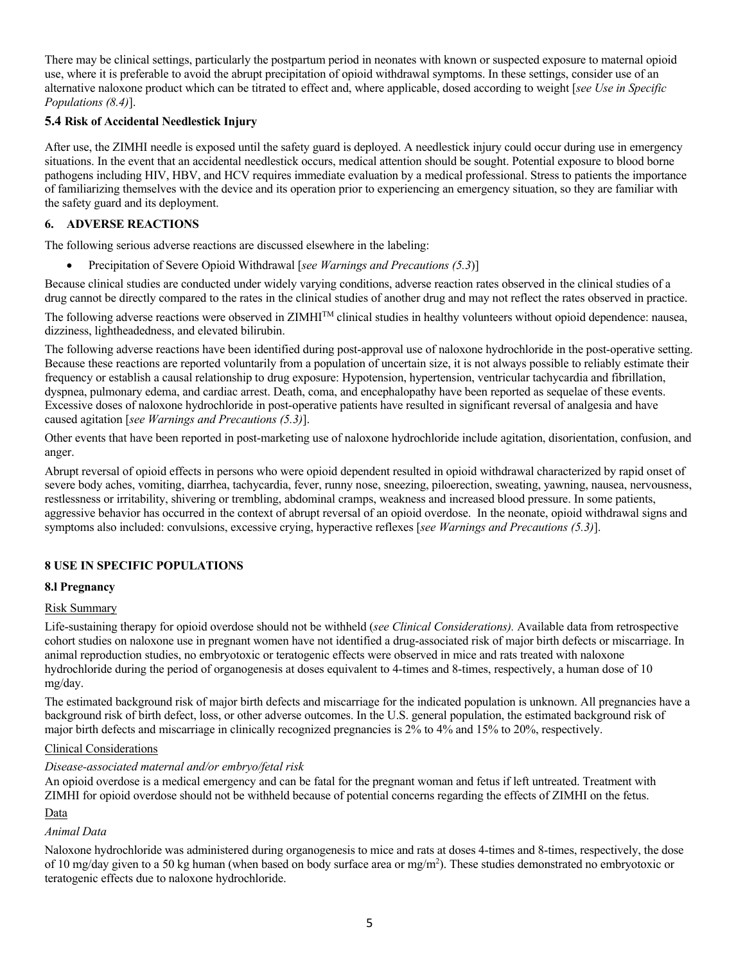There may be clinical settings, particularly the postpartum period in neonates with known or suspected exposure to maternal opioid use, where it is preferable to avoid the abrupt precipitation of opioid withdrawal symptoms. In these settings, consider use of an alternative naloxone product which can be titrated to effect and, where applicable, dosed according to weight [*see Use in Specific Populations (8.4)*].

# **5.4 Risk of Accidental Needlestick Injury**

After use, the ZIMHI needle is exposed until the safety guard is deployed. A needlestick injury could occur during use in emergency situations. In the event that an accidental needlestick occurs, medical attention should be sought. Potential exposure to blood borne pathogens including HIV, HBV, and HCV requires immediate evaluation by a medical professional. Stress to patients the importance of familiarizing themselves with the device and its operation prior to experiencing an emergency situation, so they are familiar with the safety guard and its deployment.

# **6. ADVERSE REACTIONS**

The following serious adverse reactions are discussed elsewhere in the labeling:

• Precipitation of Severe Opioid Withdrawal [*see Warnings and Precautions (5.3*)]

Because clinical studies are conducted under widely varying conditions, adverse reaction rates observed in the clinical studies of a drug cannot be directly compared to the rates in the clinical studies of another drug and may not reflect the rates observed in practice.

The following adverse reactions were observed in ZIMHI<sup>TM</sup> clinical studies in healthy volunteers without opioid dependence: nausea, dizziness, lightheadedness, and elevated bilirubin.

The following adverse reactions have been identified during post-approval use of naloxone hydrochloride in the post-operative setting. Because these reactions are reported voluntarily from a population of uncertain size, it is not always possible to reliably estimate their frequency or establish a causal relationship to drug exposure: Hypotension, hypertension, ventricular tachycardia and fibrillation, dyspnea, pulmonary edema, and cardiac arrest. Death, coma, and encephalopathy have been reported as sequelae of these events. Excessive doses of naloxone hydrochloride in post-operative patients have resulted in significant reversal of analgesia and have caused agitation [*see Warnings and Precautions (5.3)*].

Other events that have been reported in post-marketing use of naloxone hydrochloride include agitation, disorientation, confusion, and anger.

Abrupt reversal of opioid effects in persons who were opioid dependent resulted in opioid withdrawal characterized by rapid onset of severe body aches, vomiting, diarrhea, tachycardia, fever, runny nose, sneezing, piloerection, sweating, yawning, nausea, nervousness, restlessness or irritability, shivering or trembling, abdominal cramps, weakness and increased blood pressure. In some patients, aggressive behavior has occurred in the context of abrupt reversal of an opioid overdose. In the neonate, opioid withdrawal signs and symptoms also included: convulsions, excessive crying, hyperactive reflexes [*see Warnings and Precautions (5.3)*].

# **8 USE IN SPECIFIC POPULATIONS**

# **8.l Pregnancy**

# Risk Summary

Life-sustaining therapy for opioid overdose should not be withheld (*see Clinical Considerations).* Available data from retrospective cohort studies on naloxone use in pregnant women have not identified a drug-associated risk of major birth defects or miscarriage. In animal reproduction studies, no embryotoxic or teratogenic effects were observed in mice and rats treated with naloxone hydrochloride during the period of organogenesis at doses equivalent to 4-times and 8-times, respectively, a human dose of 10 mg/day.

The estimated background risk of major birth defects and miscarriage for the indicated population is unknown. All pregnancies have a background risk of birth defect, loss, or other adverse outcomes. In the U.S. general population, the estimated background risk of major birth defects and miscarriage in clinically recognized pregnancies is 2% to 4% and 15% to 20%, respectively.

# Clinical Considerations

# *Disease-associated maternal and/or embryo/fetal risk*

An opioid overdose is a medical emergency and can be fatal for the pregnant woman and fetus if left untreated. Treatment with ZIMHI for opioid overdose should not be withheld because of potential concerns regarding the effects of ZIMHI on the fetus.

# Data

# *Animal Data*

Naloxone hydrochloride was administered during organogenesis to mice and rats at doses 4-times and 8-times, respectively, the dose of 10 mg/day given to a 50 kg human (when based on body surface area or mg/m<sup>2</sup>). These studies demonstrated no embryotoxic or teratogenic effects due to naloxone hydrochloride.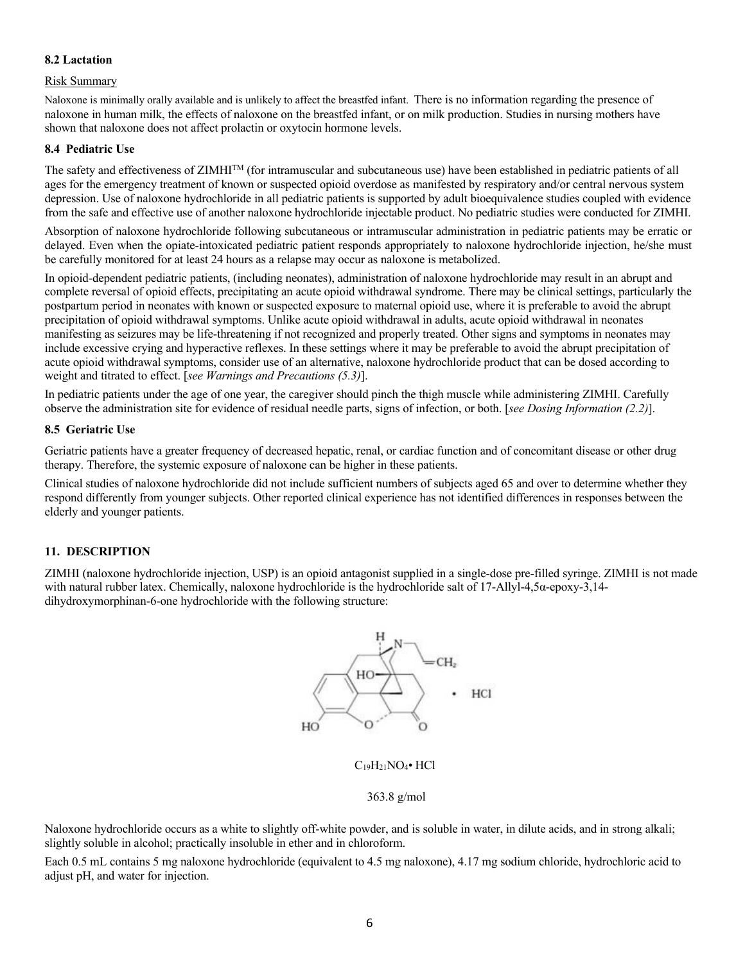# **8.2 Lactation**

### Risk Summary

Naloxone is minimally orally available and is unlikely to affect the breastfed infant. There is no information regarding the presence of naloxone in human milk, the effects of naloxone on the breastfed infant, or on milk production. Studies in nursing mothers have shown that naloxone does not affect prolactin or oxytocin hormone levels.

### **8.4 Pediatric Use**

The safety and effectiveness of  $ZIMHI^{TM}$  (for intramuscular and subcutaneous use) have been established in pediatric patients of all ages for the emergency treatment of known or suspected opioid overdose as manifested by respiratory and/or central nervous system depression. Use of naloxone hydrochloride in all pediatric patients is supported by adult bioequivalence studies coupled with evidence from the safe and effective use of another naloxone hydrochloride injectable product. No pediatric studies were conducted for ZIMHI.

Absorption of naloxone hydrochloride following subcutaneous or intramuscular administration in pediatric patients may be erratic or delayed. Even when the opiate-intoxicated pediatric patient responds appropriately to naloxone hydrochloride injection, he/she must be carefully monitored for at least 24 hours as a relapse may occur as naloxone is metabolized.

In opioid-dependent pediatric patients, (including neonates), administration of naloxone hydrochloride may result in an abrupt and complete reversal of opioid effects, precipitating an acute opioid withdrawal syndrome. There may be clinical settings, particularly the postpartum period in neonates with known or suspected exposure to maternal opioid use, where it is preferable to avoid the abrupt precipitation of opioid withdrawal symptoms. Unlike acute opioid withdrawal in adults, acute opioid withdrawal in neonates manifesting as seizures may be life-threatening if not recognized and properly treated. Other signs and symptoms in neonates may include excessive crying and hyperactive reflexes. In these settings where it may be preferable to avoid the abrupt precipitation of acute opioid withdrawal symptoms, consider use of an alternative, naloxone hydrochloride product that can be dosed according to weight and titrated to effect. [*see Warnings and Precautions (5.3)*].

In pediatric patients under the age of one year, the caregiver should pinch the thigh muscle while administering ZIMHI. Carefully observe the administration site for evidence of residual needle parts, signs of infection, or both. [*see Dosing Information (2.2)*].

### **8.5 Geriatric Use**

Geriatric patients have a greater frequency of decreased hepatic, renal, or cardiac function and of concomitant disease or other drug therapy. Therefore, the systemic exposure of naloxone can be higher in these patients.

Clinical studies of naloxone hydrochloride did not include sufficient numbers of subjects aged 65 and over to determine whether they respond differently from younger subjects. Other reported clinical experience has not identified differences in responses between the elderly and younger patients.

# **11. DESCRIPTION**

ZIMHI (naloxone hydrochloride injection, USP) is an opioid antagonist supplied in a single-dose pre-filled syringe. ZIMHI is not made with natural rubber latex. Chemically, naloxone hydrochloride is the hydrochloride salt of 17-Allyl-4,5α-epoxy-3,14dihydroxymorphinan-6-one hydrochloride with the following structure:



C19H21NO4• HCl

### 363.8 g/mol

Naloxone hydrochloride occurs as a white to slightly off-white powder, and is soluble in water, in dilute acids, and in strong alkali; slightly soluble in alcohol; practically insoluble in ether and in chloroform.

Each 0.5 mL contains 5 mg naloxone hydrochloride (equivalent to 4.5 mg naloxone), 4.17 mg sodium chloride, hydrochloric acid to adjust pH, and water for injection.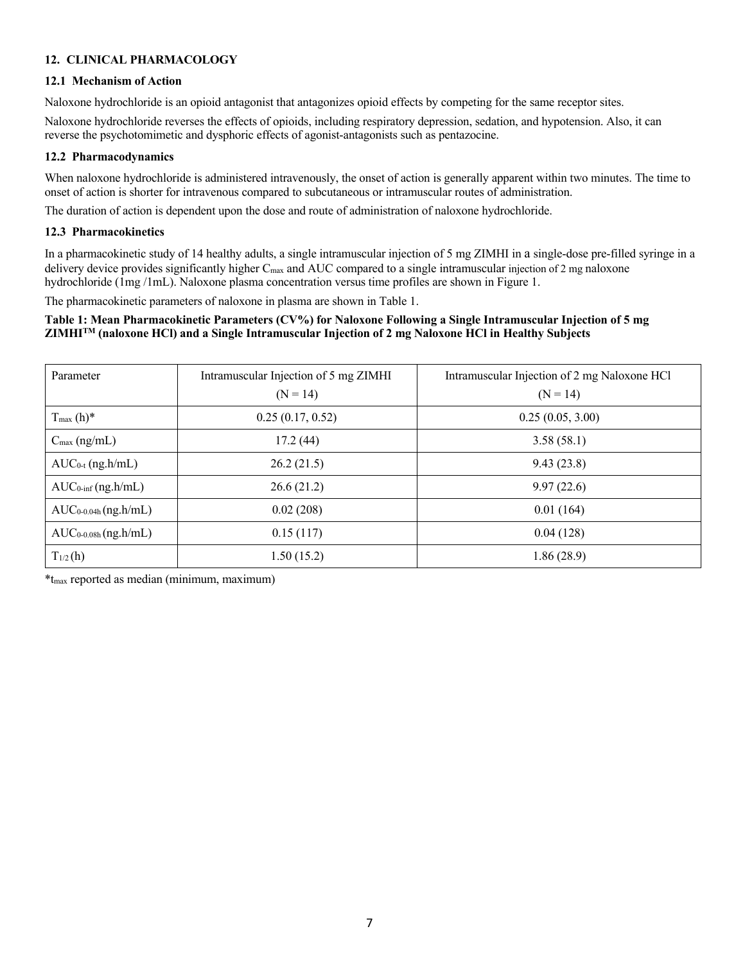# **12. CLINICAL PHARMACOLOGY**

# **12.1 Mechanism of Action**

Naloxone hydrochloride is an opioid antagonist that antagonizes opioid effects by competing for the same receptor sites.

Naloxone hydrochloride reverses the effects of opioids, including respiratory depression, sedation, and hypotension. Also, it can reverse the psychotomimetic and dysphoric effects of agonist-antagonists such as pentazocine.

# **12.2 Pharmacodynamics**

When naloxone hydrochloride is administered intravenously, the onset of action is generally apparent within two minutes. The time to onset of action is shorter for intravenous compared to subcutaneous or intramuscular routes of administration.

The duration of action is dependent upon the dose and route of administration of naloxone hydrochloride.

# **12.3 Pharmacokinetics**

In a pharmacokinetic study of 14 healthy adults, a single intramuscular injection of 5 mg ZIMHI in a single-dose pre-filled syringe in a delivery device provides significantly higher  $C_{\text{max}}$  and AUC compared to a single intramuscular injection of 2 mg naloxone hydrochloride (1mg /1mL). Naloxone plasma concentration versus time profiles are shown in Figure 1.

The pharmacokinetic parameters of naloxone in plasma are shown in Table 1.

# **Table 1: Mean Pharmacokinetic Parameters (CV%) for Naloxone Following a Single Intramuscular Injection of 5 mg ZIMHITM (naloxone HCl) and a Single Intramuscular Injection of 2 mg Naloxone HCl in Healthy Subjects**

| Parameter                      | Intramuscular Injection of 5 mg ZIMHI | Intramuscular Injection of 2 mg Naloxone HCl |
|--------------------------------|---------------------------------------|----------------------------------------------|
|                                | $(N = 14)$                            | $(N = 14)$                                   |
| $T_{\text{max}}(h)$ *          | 0.25(0.17, 0.52)                      | 0.25(0.05, 3.00)                             |
| $C_{\text{max}}$ (ng/mL)       | 17.2(44)                              | 3.58(58.1)                                   |
| $AUC_{0-t}$ (ng.h/mL)          | 26.2(21.5)                            | 9.43(23.8)                                   |
| $AUC_{0\text{-inf}}$ (ng.h/mL) | 26.6(21.2)                            | 9.97(22.6)                                   |
| $AUC_{0.04h}$ (ng.h/mL)        | 0.02(208)                             | 0.01(164)                                    |
| $AUC_{0.08h}$ (ng.h/mL)        | 0.15(117)                             | 0.04(128)                                    |
| $T_{1/2}$ (h)                  | 1.50(15.2)                            | 1.86(28.9)                                   |

\*tmax reported as median (minimum, maximum)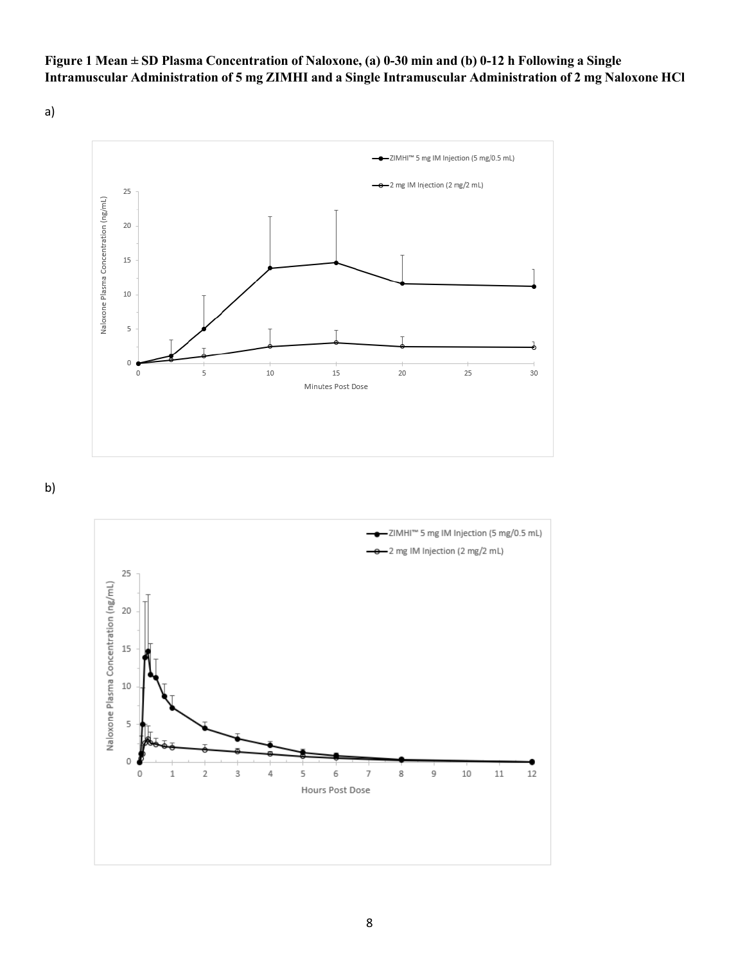# Figure 1 Mean ± SD Plasma Concentration of Naloxone, (a) 0-30 min and (b) 0-12 h Following a Single **Intramuscular Administration of 5 mg ZIMHI and a Single Intramuscular Administration of 2 mg Naloxone HCl**

a)



b)

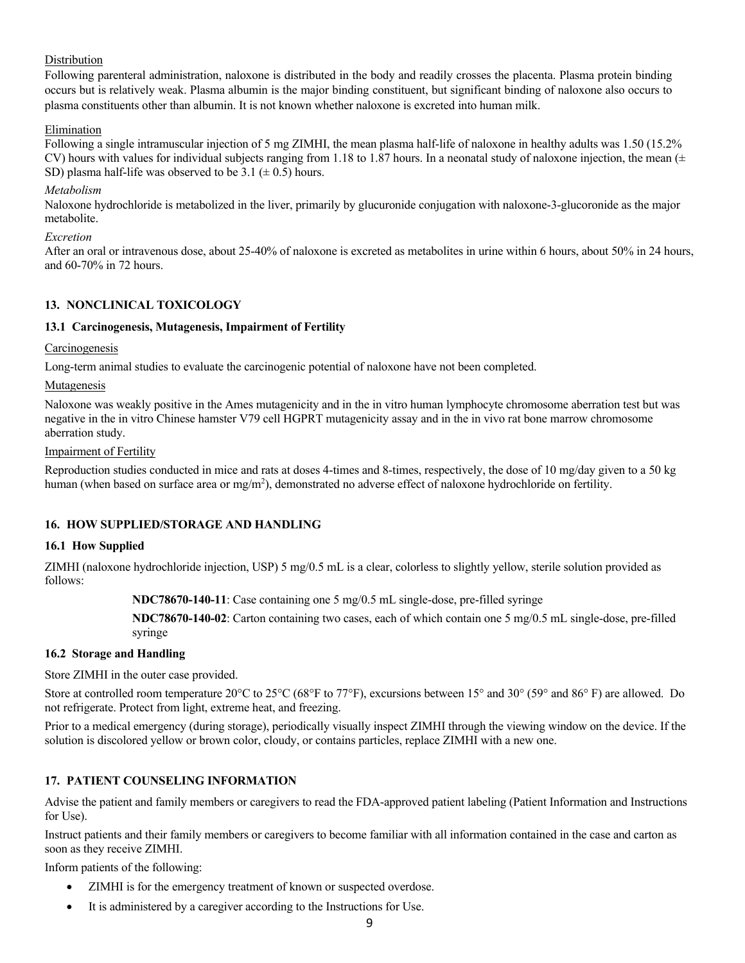# **Distribution**

Following parenteral administration, naloxone is distributed in the body and readily crosses the placenta. Plasma protein binding occurs but is relatively weak. Plasma albumin is the major binding constituent, but significant binding of naloxone also occurs to plasma constituents other than albumin. It is not known whether naloxone is excreted into human milk.

# Elimination

Following a single intramuscular injection of 5 mg ZIMHI, the mean plasma half-life of naloxone in healthy adults was 1.50 (15.2% CV) hours with values for individual subjects ranging from 1.18 to 1.87 hours. In a neonatal study of naloxone injection, the mean  $(±$ SD) plasma half-life was observed to be 3.1 ( $\pm$  0.5) hours.

# *Metabolism*

Naloxone hydrochloride is metabolized in the liver, primarily by glucuronide conjugation with naloxone-3-glucoronide as the major metabolite.

### *Excretion*

After an oral or intravenous dose, about 25-40% of naloxone is excreted as metabolites in urine within 6 hours, about 50% in 24 hours, and 60-70% in 72 hours.

# **13. NONCLINICAL TOXICOLOGY**

# **13.1 Carcinogenesis, Mutagenesis, Impairment of Fertility**

# **Carcinogenesis**

Long-term animal studies to evaluate the carcinogenic potential of naloxone have not been completed.

### Mutagenesis

Naloxone was weakly positive in the Ames mutagenicity and in the in vitro human lymphocyte chromosome aberration test but was negative in the in vitro Chinese hamster V79 cell HGPRT mutagenicity assay and in the in vivo rat bone marrow chromosome aberration study.

### Impairment of Fertility

Reproduction studies conducted in mice and rats at doses 4-times and 8-times, respectively, the dose of 10 mg/day given to a 50 kg human (when based on surface area or mg/m<sup>2</sup>), demonstrated no adverse effect of naloxone hydrochloride on fertility.

# **16. HOW SUPPLIED/STORAGE AND HANDLING**

# **16.1 How Supplied**

ZIMHI (naloxone hydrochloride injection, USP) 5 mg/0.5 mL is a clear, colorless to slightly yellow, sterile solution provided as follows:

**NDC78670-140-11**: Case containing one 5 mg/0.5 mL single-dose, pre-filled syringe

**NDC78670-140-02**: Carton containing two cases, each of which contain one 5 mg/0.5 mL single-dose, pre-filled syringe

# **16.2 Storage and Handling**

Store ZIMHI in the outer case provided.

Store at controlled room temperature 20°C to 25°C (68°F to 77°F), excursions between 15° and 30° (59° and 86° F) are allowed. Do not refrigerate. Protect from light, extreme heat, and freezing.

Prior to a medical emergency (during storage), periodically visually inspect ZIMHI through the viewing window on the device. If the solution is discolored yellow or brown color, cloudy, or contains particles, replace ZIMHI with a new one.

# **17. PATIENT COUNSELING INFORMATION**

Advise the patient and family members or caregivers to read the FDA-approved patient labeling (Patient Information and Instructions for Use).

Instruct patients and their family members or caregivers to become familiar with all information contained in the case and carton as soon as they receive ZIMHI.

Inform patients of the following:

- ZIMHI is for the emergency treatment of known or suspected overdose.
- It is administered by a caregiver according to the Instructions for Use.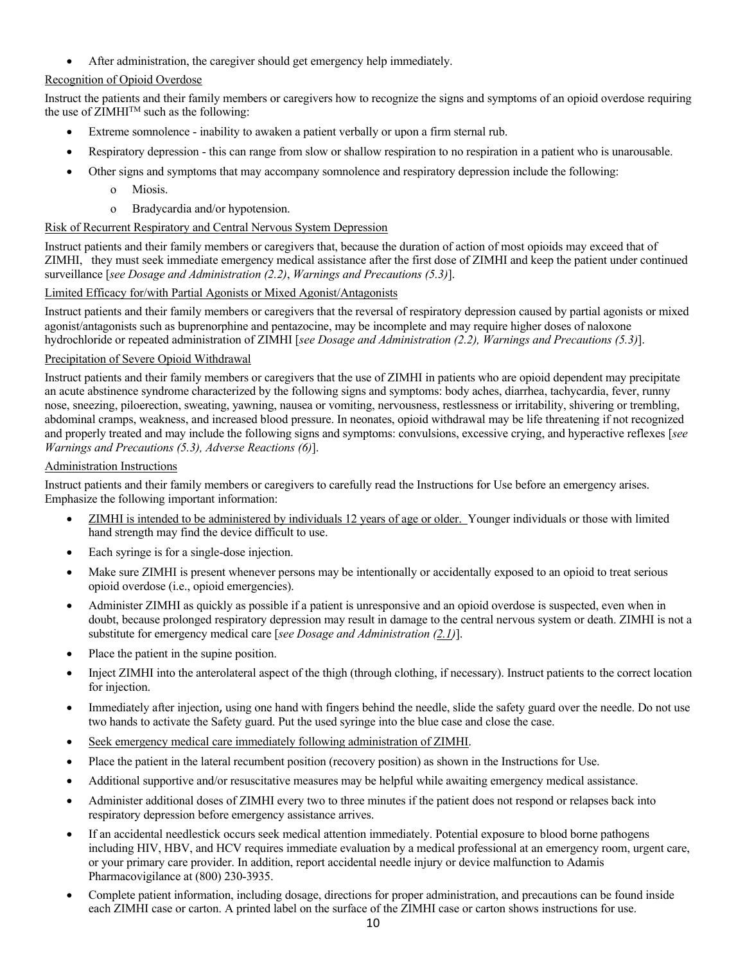• After administration, the caregiver should get emergency help immediately.

# Recognition of Opioid Overdose

Instruct the patients and their family members or caregivers how to recognize the signs and symptoms of an opioid overdose requiring the use of  $ZIMHI<sup>TM</sup>$  such as the following:

- Extreme somnolence inability to awaken a patient verbally or upon a firm sternal rub.
- Respiratory depression this can range from slow or shallow respiration to no respiration in a patient who is unarousable.
- Other signs and symptoms that may accompany somnolence and respiratory depression include the following:
	- o Miosis.
	- o Bradycardia and/or hypotension.

# Risk of Recurrent Respiratory and Central Nervous System Depression

Instruct patients and their family members or caregivers that, because the duration of action of most opioids may exceed that of ZIMHI, they must seek immediate emergency medical assistance after the first dose of ZIMHI and keep the patient under continued surveillance [*see Dosage and Administration (2.2)*, *Warnings and Precautions (5.3)*].

# Limited Efficacy for/with Partial Agonists or Mixed Agonist/Antagonists

Instruct patients and their family members or caregivers that the reversal of respiratory depression caused by partial agonists or mixed agonist/antagonists such as buprenorphine and pentazocine, may be incomplete and may require higher doses of naloxone hydrochloride or repeated administration of ZIMHI [*see Dosage and Administration (2.2), Warnings and Precautions (5.3)*].

# Precipitation of Severe Opioid Withdrawal

Instruct patients and their family members or caregivers that the use of ZIMHI in patients who are opioid dependent may precipitate an acute abstinence syndrome characterized by the following signs and symptoms: body aches, diarrhea, tachycardia, fever, runny nose, sneezing, piloerection, sweating, yawning, nausea or vomiting, nervousness, restlessness or irritability, shivering or trembling, abdominal cramps, weakness, and increased blood pressure. In neonates, opioid withdrawal may be life threatening if not recognized and properly treated and may include the following signs and symptoms: convulsions, excessive crying, and hyperactive reflexes [*see Warnings and Precautions (5.3), Adverse Reactions (6)*].

# Administration Instructions

Instruct patients and their family members or caregivers to carefully read the Instructions for Use before an emergency arises. Emphasize the following important information:

- ZIMHI is intended to be administered by individuals 12 years of age or older. Younger individuals or those with limited hand strength may find the device difficult to use.
- Each syringe is for a single-dose injection.
- Make sure ZIMHI is present whenever persons may be intentionally or accidentally exposed to an opioid to treat serious opioid overdose (i.e., opioid emergencies).
- Administer ZIMHI as quickly as possible if a patient is unresponsive and an opioid overdose is suspected, even when in doubt, because prolonged respiratory depression may result in damage to the central nervous system or death. ZIMHI is not a substitute for emergency medical care [*see Dosage and Administration (2.1)*].
- Place the patient in the supine position.
- Inject ZIMHI into the anterolateral aspect of the thigh (through clothing, if necessary). Instruct patients to the correct location for injection.
- Immediately after injection, using one hand with fingers behind the needle, slide the safety guard over the needle. Do not use two hands to activate the Safety guard. Put the used syringe into the blue case and close the case.
- Seek emergency medical care immediately following administration of ZIMHI.
- Place the patient in the lateral recumbent position (recovery position) as shown in the Instructions for Use.
- Additional supportive and/or resuscitative measures may be helpful while awaiting emergency medical assistance.
- Administer additional doses of ZIMHI every two to three minutes if the patient does not respond or relapses back into respiratory depression before emergency assistance arrives.
- If an accidental needlestick occurs seek medical attention immediately. Potential exposure to blood borne pathogens including HIV, HBV, and HCV requires immediate evaluation by a medical professional at an emergency room, urgent care, or your primary care provider. In addition, report accidental needle injury or device malfunction to Adamis Pharmacovigilance at (800) 230-3935.
- Complete patient information, including dosage, directions for proper administration, and precautions can be found inside each ZIMHI case or carton. A printed label on the surface of the ZIMHI case or carton shows instructions for use.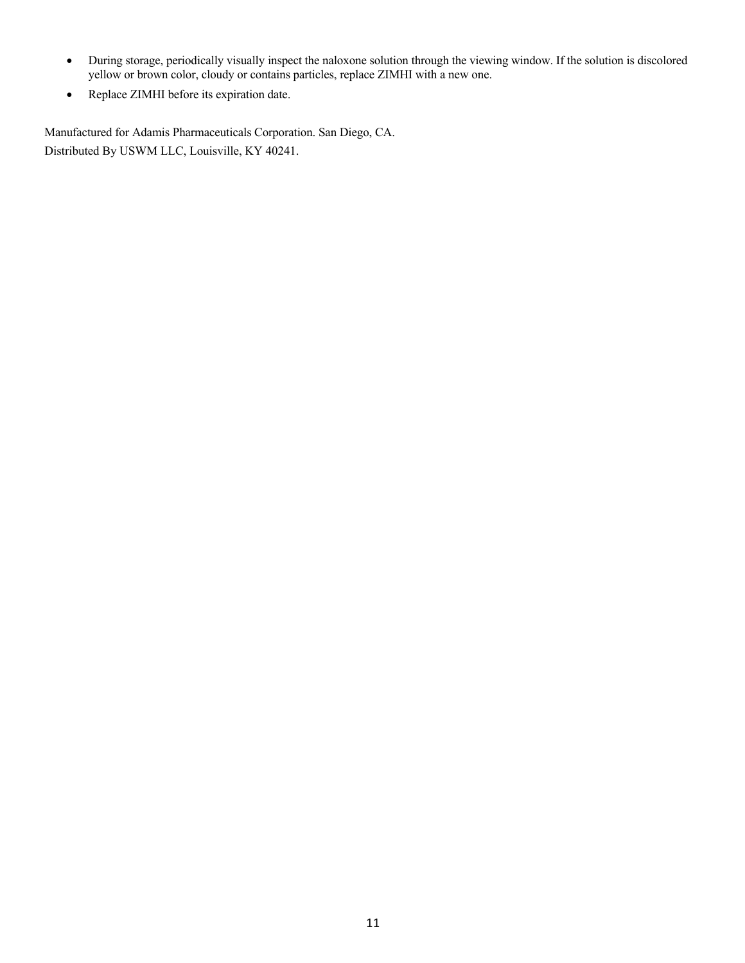- During storage, periodically visually inspect the naloxone solution through the viewing window. If the solution is discolored yellow or brown color, cloudy or contains particles, replace ZIMHI with a new one.
- Replace ZIMHI before its expiration date.

Manufactured for Adamis Pharmaceuticals Corporation. San Diego, CA. Distributed By USWM LLC, Louisville, KY 40241.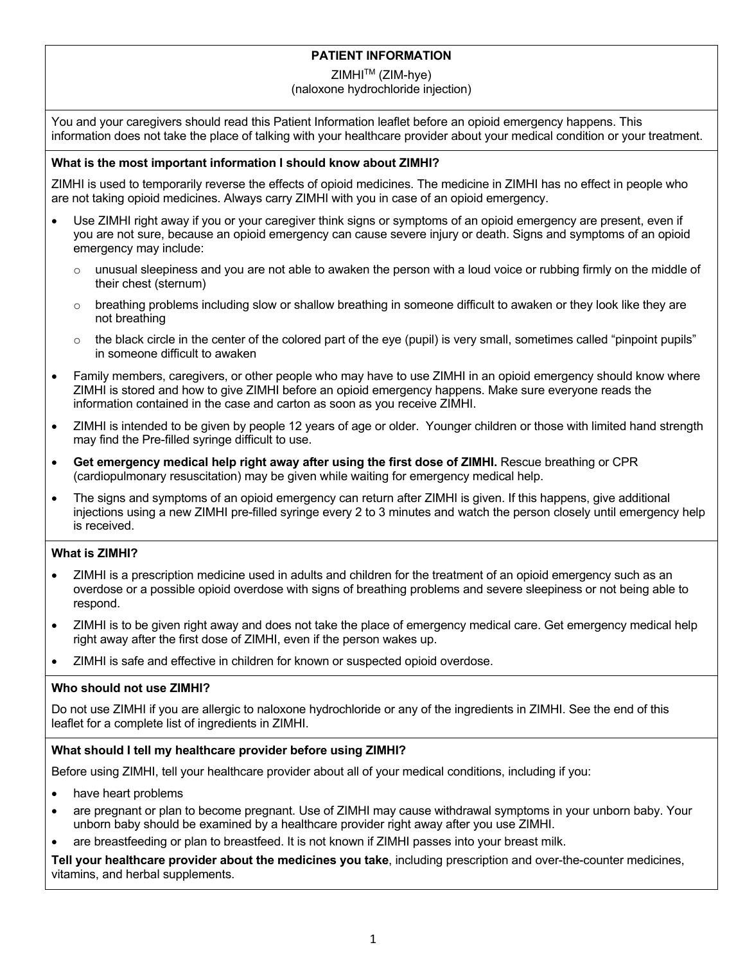# **PATIENT INFORMATION**

# ZIMHI<sup>™</sup> (ZIM-hye)

# (naloxone hydrochloride injection)

You and your caregivers should read this Patient Information leaflet before an opioid emergency happens. This information does not take the place of talking with your healthcare provider about your medical condition or your treatment.

# **What is the most important information I should know about ZIMHI?**

ZIMHI is used to temporarily reverse the effects of opioid medicines. The medicine in ZIMHI has no effect in people who are not taking opioid medicines. Always carry ZIMHI with you in case of an opioid emergency.

- Use ZIMHI right away if you or your caregiver think signs or symptoms of an opioid emergency are present, even if you are not sure, because an opioid emergency can cause severe injury or death. Signs and symptoms of an opioid emergency may include:
	- $\circ$  unusual sleepiness and you are not able to awaken the person with a loud voice or rubbing firmly on the middle of their chest (sternum)
	- $\circ$  breathing problems including slow or shallow breathing in someone difficult to awaken or they look like they are not breathing
	- $\circ$  the black circle in the center of the colored part of the eye (pupil) is very small, sometimes called "pinpoint pupils" in someone difficult to awaken
- Family members, caregivers, or other people who may have to use ZIMHI in an opioid emergency should know where ZIMHI is stored and how to give ZIMHI before an opioid emergency happens. Make sure everyone reads the information contained in the case and carton as soon as you receive ZIMHI.
- ZIMHI is intended to be given by people 12 years of age or older. Younger children or those with limited hand strength may find the Pre-filled syringe difficult to use.
- **Get emergency medical help right away after using the first dose of ZIMHI.** Rescue breathing or CPR (cardiopulmonary resuscitation) may be given while waiting for emergency medical help.
- The signs and symptoms of an opioid emergency can return after ZIMHI is given. If this happens, give additional injections using a new ZIMHI pre-filled syringe every 2 to 3 minutes and watch the person closely until emergency help is received.

# **What is ZIMHI?**

- ZIMHI is a prescription medicine used in adults and children for the treatment of an opioid emergency such as an overdose or a possible opioid overdose with signs of breathing problems and severe sleepiness or not being able to respond.
- ZIMHI is to be given right away and does not take the place of emergency medical care. Get emergency medical help right away after the first dose of ZIMHI, even if the person wakes up.
- ZIMHI is safe and effective in children for known or suspected opioid overdose.

# **Who should not use ZIMHI?**

Do not use ZIMHI if you are allergic to naloxone hydrochloride or any of the ingredients in ZIMHI. See the end of this leaflet for a complete list of ingredients in ZIMHI.

# **What should I tell my healthcare provider before using ZIMHI?**

Before using ZIMHI, tell your healthcare provider about all of your medical conditions, including if you:

- have heart problems
- are pregnant or plan to become pregnant. Use of ZIMHI may cause withdrawal symptoms in your unborn baby. Your unborn baby should be examined by a healthcare provider right away after you use ZIMHI.
- are breastfeeding or plan to breastfeed. It is not known if ZIMHI passes into your breast milk.

**Tell your healthcare provider about the medicines you take**, including prescription and over-the-counter medicines, vitamins, and herbal supplements.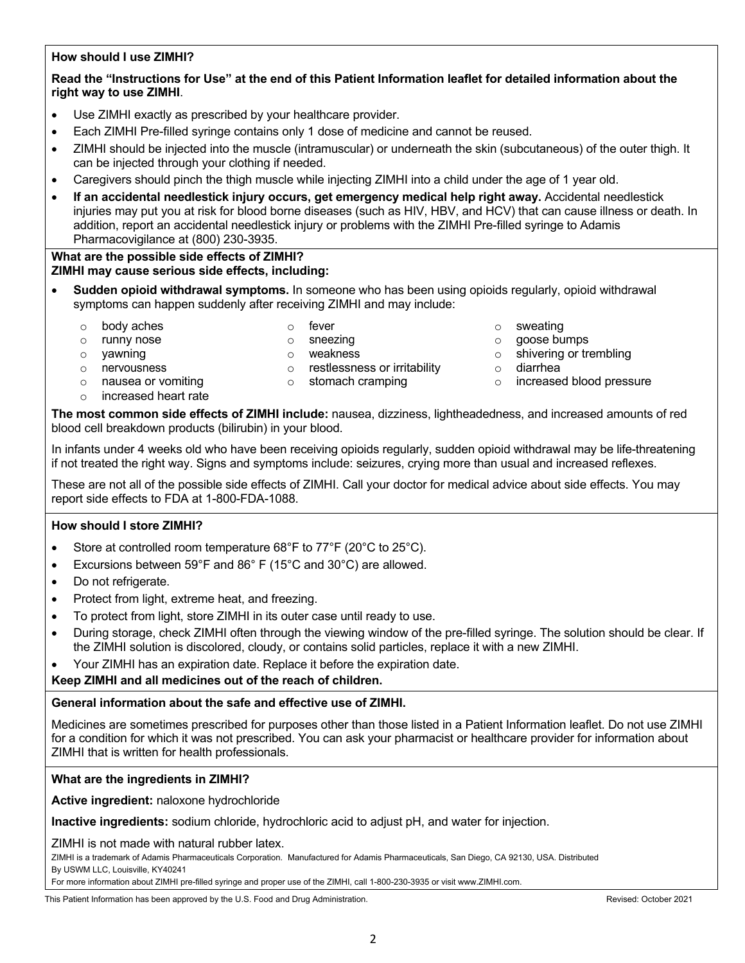# **How should I use ZIMHI?**

# **Read the "Instructions for Use" at the end of this Patient Information leaflet for detailed information about the right way to use ZIMHI**.

- Use ZIMHI exactly as prescribed by your healthcare provider.
- Each ZIMHI Pre-filled syringe contains only 1 dose of medicine and cannot be reused.
- ZIMHI should be injected into the muscle (intramuscular) or underneath the skin (subcutaneous) of the outer thigh. It can be injected through your clothing if needed.
- Caregivers should pinch the thigh muscle while injecting ZIMHI into a child under the age of 1 year old.
- **If an accidental needlestick injury occurs, get emergency medical help right away.** Accidental needlestick injuries may put you at risk for blood borne diseases (such as HIV, HBV, and HCV) that can cause illness or death. In addition, report an accidental needlestick injury or problems with the ZIMHI Pre-filled syringe to Adamis Pharmacovigilance at (800) 230-3935.

# **What are the possible side effects of ZIMHI?**

# **ZIMHI may cause serious side effects, including:**

- **Sudden opioid withdrawal symptoms.** In someone who has been using opioids regularly, opioid withdrawal symptoms can happen suddenly after receiving ZIMHI and may include:
	- o body aches o sweating o fever o sweating o sweating
- 

- 
- 
- o nervousness o restlessness or irritability o diarrhea<br>
o nausea or vomiting o stomach cramping o concrease
- 
- o runny nose o sneezing a contract of the south of the south of the south of the south of the south of the south of the south of the south of the south of the south of the south of the south of the south of the south of th
- $\circ$  vawning  $\circ$  o weakness  $\circ$  o shivering or trembling
	-
- $\circ$  nausea or vomiting  $\circ$  stomach cramping  $\circ$  increased blood pressure
- o increased heart rate
- 
- **The most common side effects of ZIMHI include:** nausea, dizziness, lightheadedness, and increased amounts of red blood cell breakdown products (bilirubin) in your blood.

In infants under 4 weeks old who have been receiving opioids regularly, sudden opioid withdrawal may be life-threatening if not treated the right way. Signs and symptoms include: seizures, crying more than usual and increased reflexes.

These are not all of the possible side effects of ZIMHI. Call your doctor for medical advice about side effects. You may report side effects to FDA at 1-800-FDA-1088.

# **How should I store ZIMHI?**

- Store at controlled room temperature 68°F to 77°F (20°C to 25°C).
- Excursions between 59°F and 86° F (15°C and 30°C) are allowed.
- Do not refrigerate.
- Protect from light, extreme heat, and freezing.
- To protect from light, store ZIMHI in its outer case until ready to use.
- During storage, check ZIMHI often through the viewing window of the pre-filled syringe. The solution should be clear. If the ZIMHI solution is discolored, cloudy, or contains solid particles, replace it with a new ZIMHI.
- Your ZIMHI has an expiration date. Replace it before the expiration date.

# **Keep ZIMHI and all medicines out of the reach of children.**

# **General information about the safe and effective use of ZIMHI.**

Medicines are sometimes prescribed for purposes other than those listed in a Patient Information leaflet. Do not use ZIMHI for a condition for which it was not prescribed. You can ask your pharmacist or healthcare provider for information about ZIMHI that is written for health professionals.

# **What are the ingredients in ZIMHI?**

**Active ingredient:** naloxone hydrochloride

**Inactive ingredients:** sodium chloride, hydrochloric acid to adjust pH, and water for injection.

# ZIMHI is not made with natural rubber latex.

ZIMHI is a trademark of Adamis Pharmaceuticals Corporation. Manufactured for Adamis Pharmaceuticals, San Diego, CA 92130, USA. Distributed By USWM LLC, Louisville, KY40241

For more information about ZIMHI pre-filled syringe and proper use of the ZIMHI, call 1-800-230-3935 or visit www.ZIMHI.com.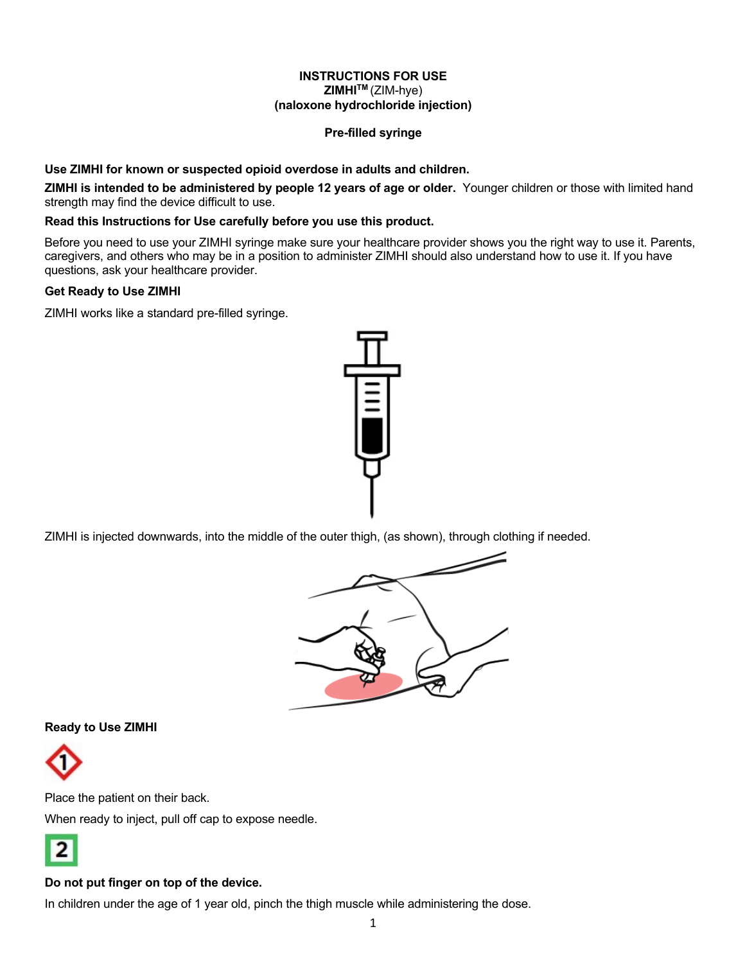# **INSTRUCTIONS FOR USE ZIMHITM** (ZIM-hye) **(naloxone hydrochloride injection)**

# **Pre-filled syringe**

# **Use ZIMHI for known or suspected opioid overdose in adults and children.**

**ZIMHI is intended to be administered by people 12 years of age or older.** Younger children or those with limited hand strength may find the device difficult to use.

# **Read this Instructions for Use carefully before you use this product.**

Before you need to use your ZIMHI syringe make sure your healthcare provider shows you the right way to use it. Parents, caregivers, and others who may be in a position to administer ZIMHI should also understand how to use it. If you have questions, ask your healthcare provider.

# **Get Ready to Use ZIMHI**

ZIMHI works like a standard pre-filled syringe.



ZIMHI is injected downwards, into the middle of the outer thigh, (as shown), through clothing if needed.



# **Ready to Use ZIMHI**



Place the patient on their back.

When ready to inject, pull off cap to expose needle.



# **Do not put finger on top of the device.**

In children under the age of 1 year old, pinch the thigh muscle while administering the dose.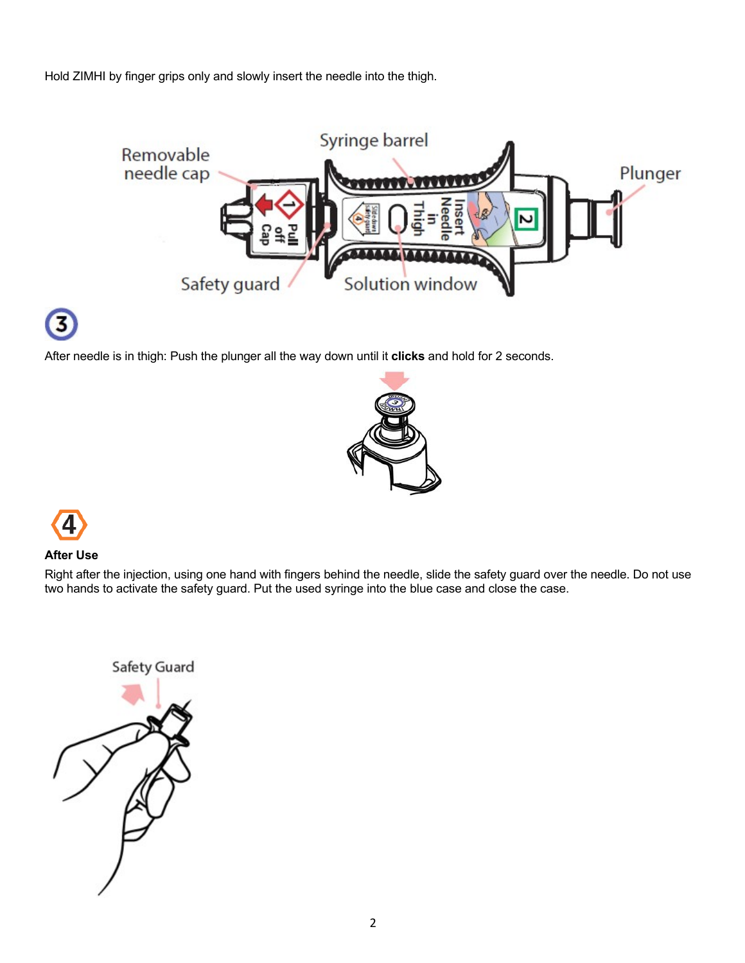Hold ZIMHI by finger grips only and slowly insert the needle into the thigh.



After needle is in thigh: Push the plunger all the way down until it **clicks** and hold for 2 seconds.





# **After Use**

Right after the injection, using one hand with fingers behind the needle, slide the safety guard over the needle. Do not use two hands to activate the safety guard. Put the used syringe into the blue case and close the case.

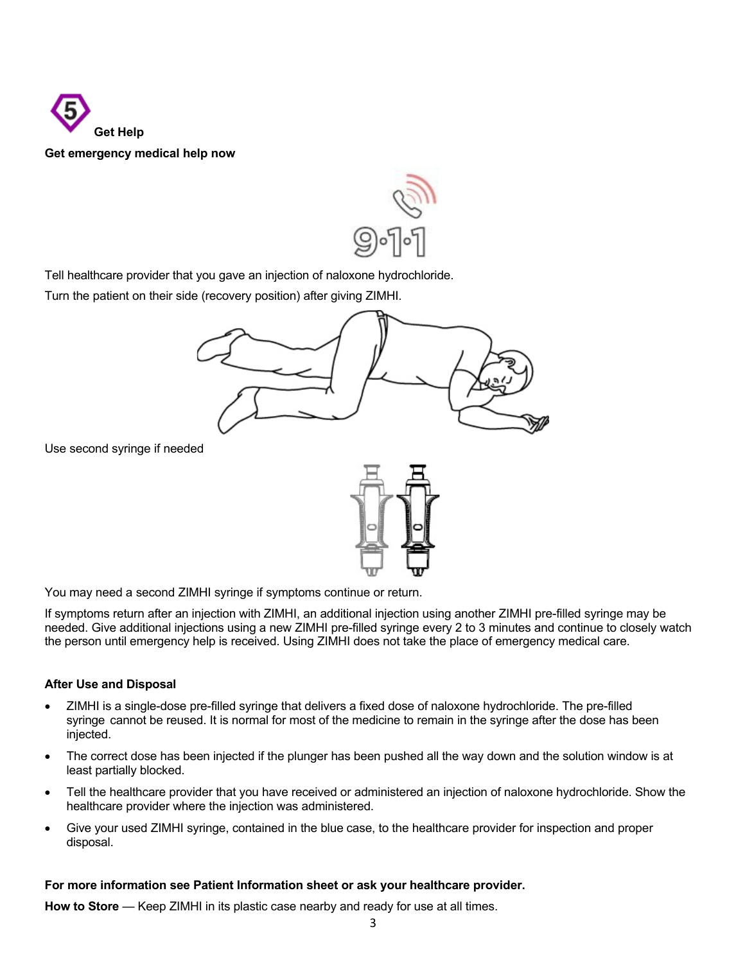



Tell healthcare provider that you gave an injection of naloxone hydrochloride.

Turn the patient on their side (recovery position) after giving ZIMHI.



Use second syringe if needed



You may need a second ZIMHI syringe if symptoms continue or return.

If symptoms return after an injection with ZIMHI, an additional injection using another ZIMHI pre-filled syringe may be needed. Give additional injections using a new ZIMHI pre-filled syringe every 2 to 3 minutes and continue to closely watch the person until emergency help is received. Using ZIMHI does not take the place of emergency medical care.

# **After Use and Disposal**

- ZIMHI is a single-dose pre-filled syringe that delivers a fixed dose of naloxone hydrochloride. The pre-filled syringe cannot be reused. It is normal for most of the medicine to remain in the syringe after the dose has been injected.
- The correct dose has been injected if the plunger has been pushed all the way down and the solution window is at least partially blocked.
- Tell the healthcare provider that you have received or administered an injection of naloxone hydrochloride. Show the healthcare provider where the injection was administered.
- Give your used ZIMHI syringe, contained in the blue case, to the healthcare provider for inspection and proper disposal.

# **For more information see Patient Information sheet or ask your healthcare provider.**

**How to Store** — Keep ZIMHI in its plastic case nearby and ready for use at all times.